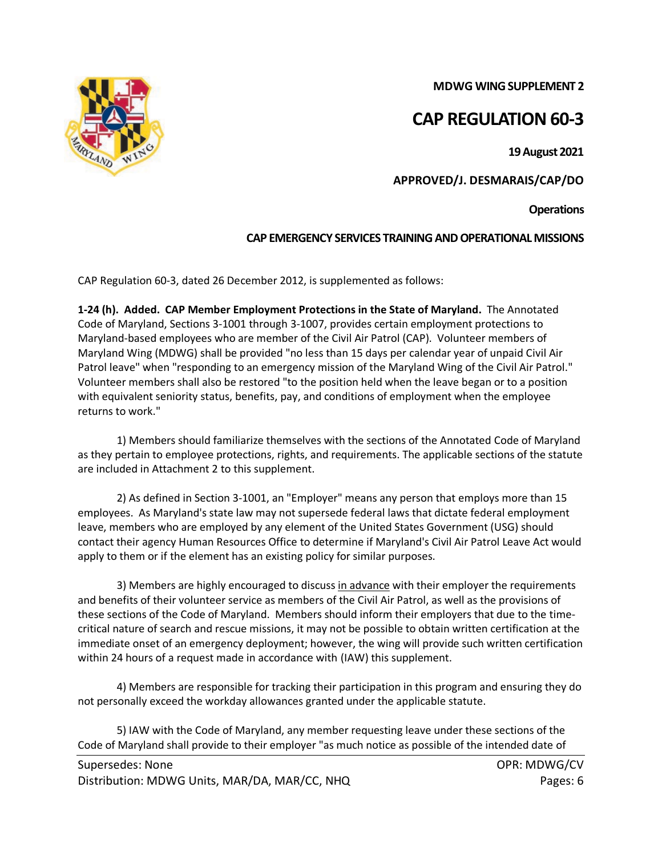**MDWG WING SUPPLEMENT 2**

# **CAP REGULATION 60-3**

**19 August 2021**

**APPROVED/J. DESMARAIS/CAP/DO**

**Operations**

# **CAP EMERGENCY SERVICES TRAINING AND OPERATIONAL MISSIONS**

CAP Regulation 60-3, dated 26 December 2012, is supplemented as follows:

**1-24 (h). Added. CAP Member Employment Protections in the State of Maryland.** The Annotated Code of Maryland, Sections 3-1001 through 3-1007, provides certain employment protections to Maryland-based employees who are member of the Civil Air Patrol (CAP). Volunteer members of Maryland Wing (MDWG) shall be provided "no less than 15 days per calendar year of unpaid Civil Air Patrol leave" when "responding to an emergency mission of the Maryland Wing of the Civil Air Patrol." Volunteer members shall also be restored "to the position held when the leave began or to a position with equivalent seniority status, benefits, pay, and conditions of employment when the employee returns to work."

1) Members should familiarize themselves with the sections of the Annotated Code of Maryland as they pertain to employee protections, rights, and requirements. The applicable sections of the statute are included in Attachment 2 to this supplement.

2) As defined in Section 3-1001, an "Employer" means any person that employs more than 15 employees. As Maryland's state law may not supersede federal laws that dictate federal employment leave, members who are employed by any element of the United States Government (USG) should contact their agency Human Resources Office to determine if Maryland's Civil Air Patrol Leave Act would apply to them or if the element has an existing policy for similar purposes.

3) Members are highly encouraged to discuss in advance with their employer the requirements and benefits of their volunteer service as members of the Civil Air Patrol, as well as the provisions of these sections of the Code of Maryland. Members should inform their employers that due to the timecritical nature of search and rescue missions, it may not be possible to obtain written certification at the immediate onset of an emergency deployment; however, the wing will provide such written certification within 24 hours of a request made in accordance with (IAW) this supplement.

4) Members are responsible for tracking their participation in this program and ensuring they do not personally exceed the workday allowances granted under the applicable statute.

5) IAW with the Code of Maryland, any member requesting leave under these sections of the Code of Maryland shall provide to their employer "as much notice as possible of the intended date of

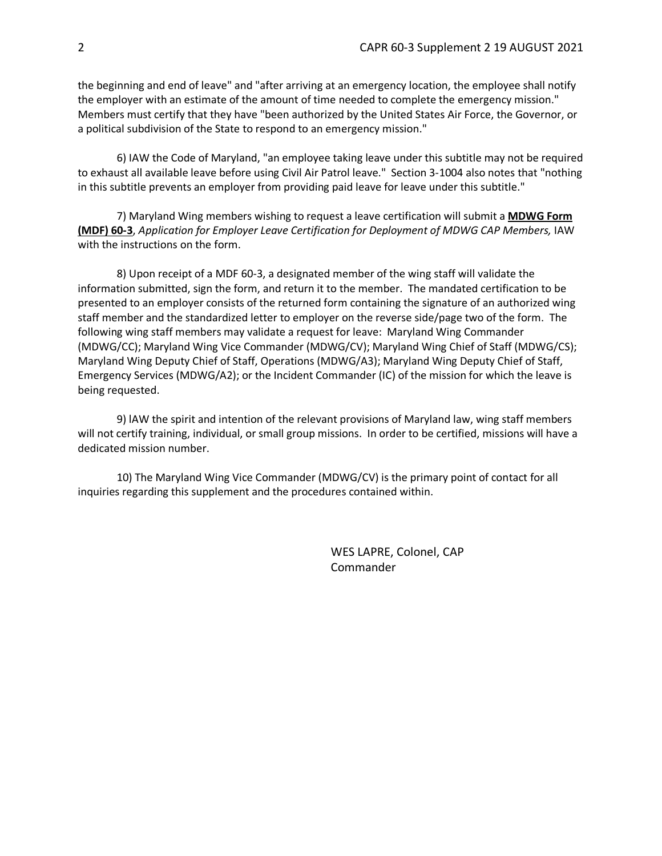the beginning and end of leave" and "after arriving at an emergency location, the employee shall notify the employer with an estimate of the amount of time needed to complete the emergency mission." Members must certify that they have "been authorized by the United States Air Force, the Governor, or a political subdivision of the State to respond to an emergency mission."

6) IAW the Code of Maryland, "an employee taking leave under this subtitle may not be required to exhaust all available leave before using Civil Air Patrol leave." Section 3-1004 also notes that "nothing in this subtitle prevents an employer from providing paid leave for leave under this subtitle."

7) Maryland Wing members wishing to request a leave certification will submit a **MDWG Form (MDF) 60-3**, *Application for Employer Leave Certification for Deployment of MDWG CAP Members,* IAW with the instructions on the form.

8) Upon receipt of a MDF 60-3, a designated member of the wing staff will validate the information submitted, sign the form, and return it to the member. The mandated certification to be presented to an employer consists of the returned form containing the signature of an authorized wing staff member and the standardized letter to employer on the reverse side/page two of the form. The following wing staff members may validate a request for leave: Maryland Wing Commander (MDWG/CC); Maryland Wing Vice Commander (MDWG/CV); Maryland Wing Chief of Staff (MDWG/CS); Maryland Wing Deputy Chief of Staff, Operations (MDWG/A3); Maryland Wing Deputy Chief of Staff, Emergency Services (MDWG/A2); or the Incident Commander (IC) of the mission for which the leave is being requested.

9) lAW the spirit and intention of the relevant provisions of Maryland law, wing staff members will not certify training, individual, or small group missions. In order to be certified, missions will have a dedicated mission number.

10) The Maryland Wing Vice Commander (MDWG/CV) is the primary point of contact for all inquiries regarding this supplement and the procedures contained within.

> WES LAPRE, Colonel, CAP Commander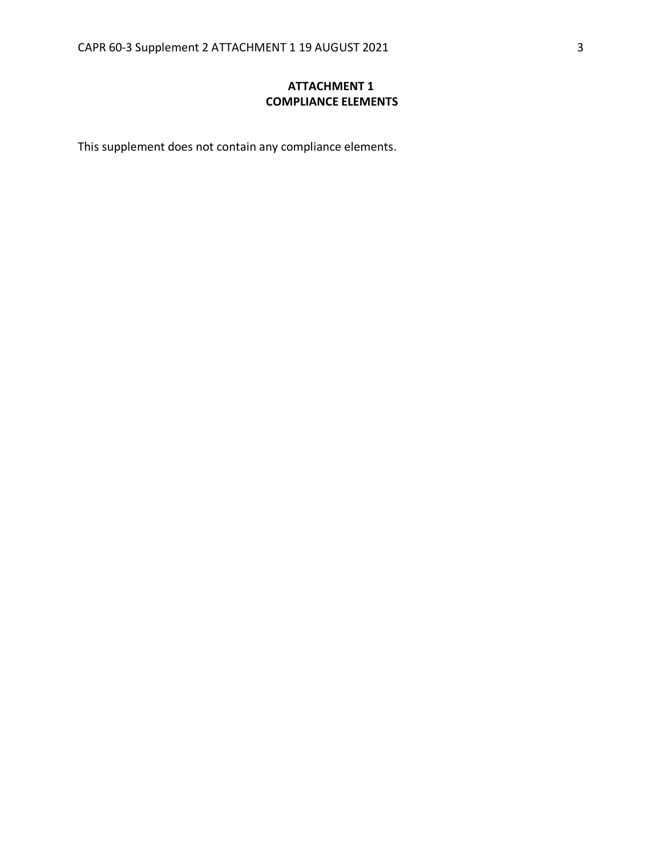## **ATTACHMENT 1 COMPLIANCE ELEMENTS**

This supplement does not contain any compliance elements.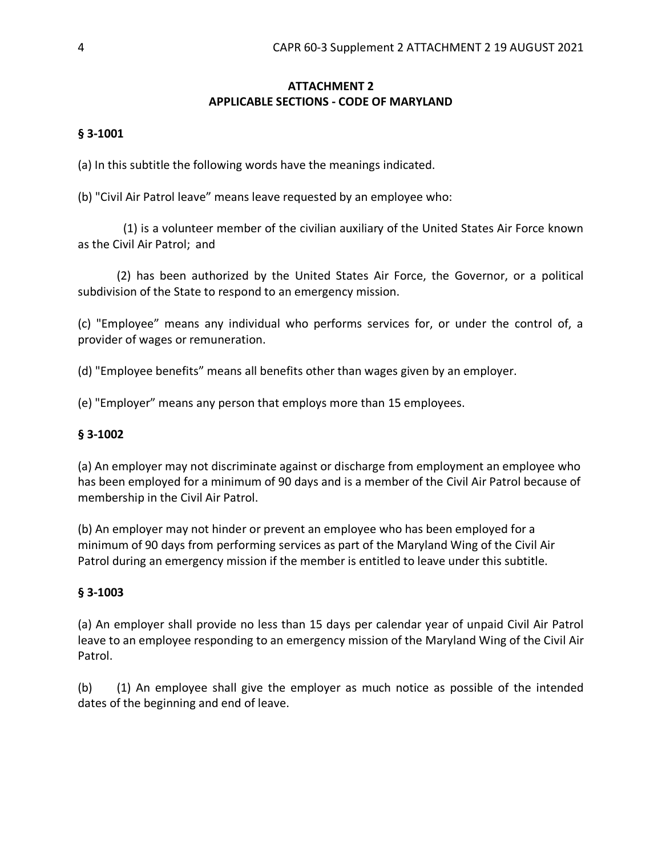# **ATTACHMENT 2 APPLICABLE SECTIONS - CODE OF MARYLAND**

#### **§ 3-1001**

(a) In this subtitle the following words have the meanings indicated.

(b) "Civil Air Patrol leave" means leave requested by an employee who:

(1) is a volunteer member of the civilian auxiliary of the United States Air Force known as the Civil Air Patrol;  and

(2) has been authorized by the United States Air Force, the Governor, or a political subdivision of the State to respond to an emergency mission.

(c) "Employee" means any individual who performs services for, or under the control of, a provider of wages or remuneration.

(d) "Employee benefits" means all benefits other than wages given by an employer.

(e) "Employer" means any person that employs more than 15 employees.

## **§ 3-1002**

(a) An employer may not discriminate against or discharge from employment an employee who has been employed for a minimum of 90 days and is a member of the Civil Air Patrol because of membership in the Civil Air Patrol.

(b) An employer may not hinder or prevent an employee who has been employed for a minimum of 90 days from performing services as part of the Maryland Wing of the Civil Air Patrol during an emergency mission if the member is entitled to leave under this subtitle.

#### **§ 3-1003**

(a) An employer shall provide no less than 15 days per calendar year of unpaid Civil Air Patrol leave to an employee responding to an emergency mission of the Maryland Wing of the Civil Air Patrol.

(b) (1) An employee shall give the employer as much notice as possible of the intended dates of the beginning and end of leave.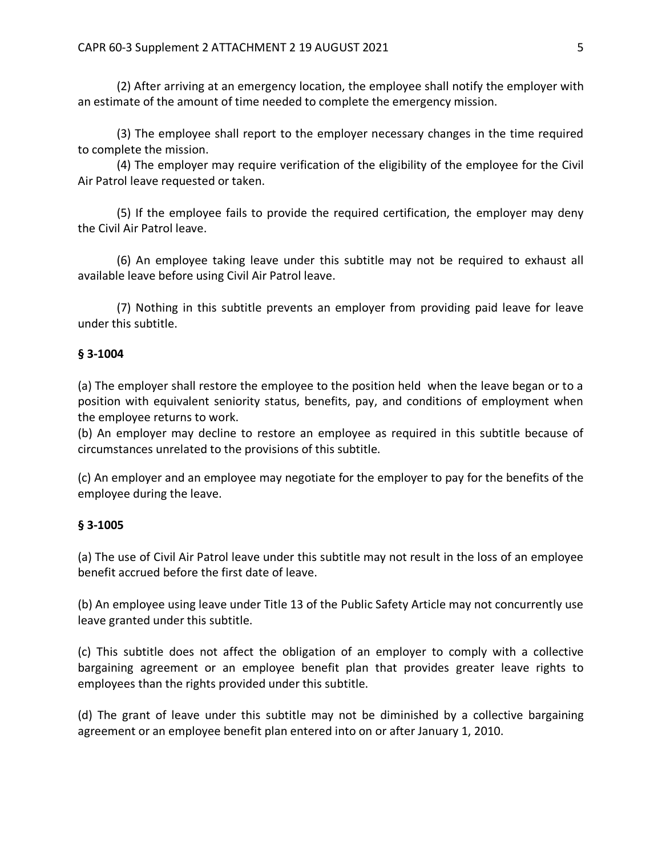(2) After arriving at an emergency location, the employee shall notify the employer with an estimate of the amount of time needed to complete the emergency mission.

(3) The employee shall report to the employer necessary changes in the time required to complete the mission.

(4) The employer may require verification of the eligibility of the employee for the Civil Air Patrol leave requested or taken.

(5) If the employee fails to provide the required certification, the employer may deny the Civil Air Patrol leave.

(6) An employee taking leave under this subtitle may not be required to exhaust all available leave before using Civil Air Patrol leave.

(7) Nothing in this subtitle prevents an employer from providing paid leave for leave under this subtitle.

#### **§ 3-1004**

(a) The employer shall restore the employee to the position held when the leave began or to a position with equivalent seniority status, benefits, pay, and conditions of employment when the employee returns to work.

(b) An employer may decline to restore an employee as required in this subtitle because of circumstances unrelated to the provisions of this subtitle.

(c) An employer and an employee may negotiate for the employer to pay for the benefits of the employee during the leave.

#### **§ 3-1005**

(a) The use of Civil Air Patrol leave under this subtitle may not result in the loss of an employee benefit accrued before the first date of leave.

(b) An employee using leave under Title 13 of the Public Safety Article may not concurrently use leave granted under this subtitle.

(c) This subtitle does not affect the obligation of an employer to comply with a collective bargaining agreement or an employee benefit plan that provides greater leave rights to employees than the rights provided under this subtitle.

(d) The grant of leave under this subtitle may not be diminished by a collective bargaining agreement or an employee benefit plan entered into on or after January 1, 2010.